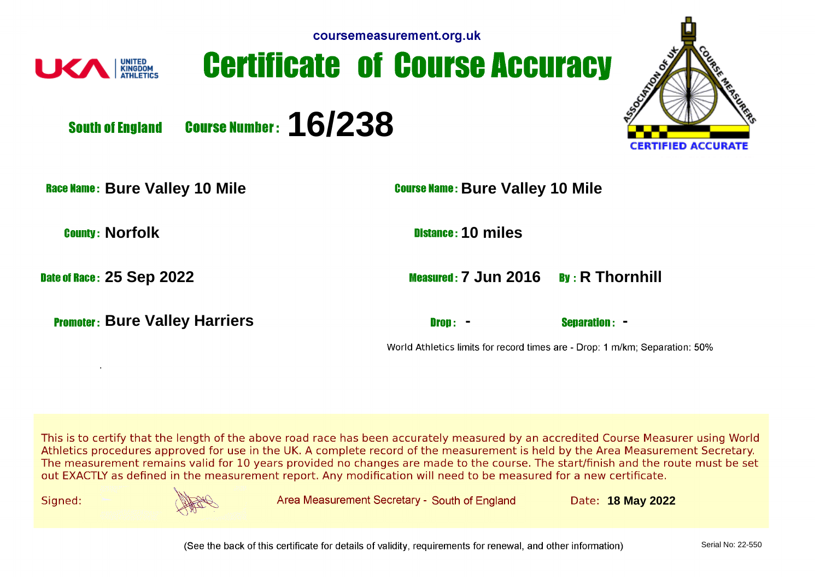| coursemeasurement.org.uk |  |  |
|--------------------------|--|--|
|                          |  |  |







**South of England** 

**Course Number: 16/238** 

**Race Name: Bure Valley 10 Mile Bure 10 Mile Bure Valley 10 Mile** 

.

**Bure Valley Harriers - -** 

**County: Norfolk 10 miles** 

**Date of Race: 25 Sep 2022 7 Jun 2016 Race: 25 Sep 2022** 

World Athletics limits for record times are - Drop: 1 m/km; Separation: 50%

This is to certify that the length of the above road race has been accurately measured by an accredited Course Measurer using World Athletics procedures approved for use in the UK. A complete record of the measurement is held by the Area Measurement Secretary. The measurement remains valid for 10 years provided no changes are made to the course. The start/finish and the route must be set out EXACTLY as defined in the measurement report. Any modification will need to be measured for a new certificate.

Signed:



Area Measurement Secretary - South of England

**18 May 2022**

(See the back of this certificate for details of validity, requirements for renewal, and other information)